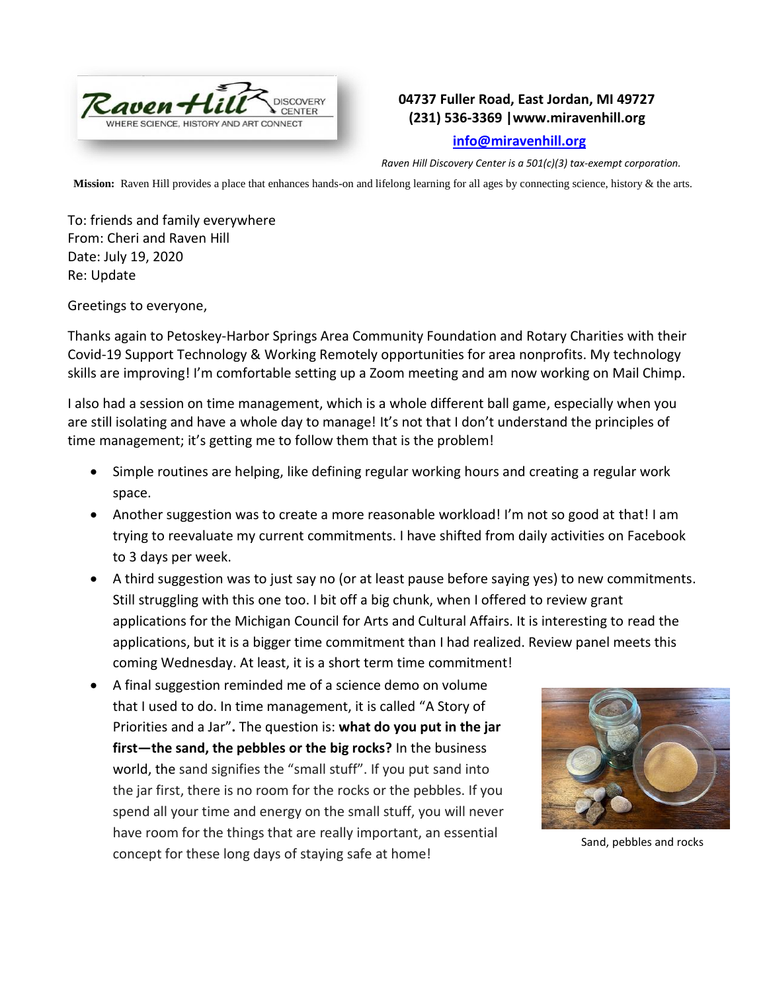

## **04737 Fuller Road, East Jordan, MI 49727 (231) 536-3369 |www.miravenhill.org**

## **[info@miravenhill.org](mailto:info@miravenhill.org)**

*Raven Hill Discovery Center is a 501(c)(3) tax-exempt corporation.*

**Mission:** Raven Hill provides a place that enhances hands-on and lifelong learning for all ages by connecting science, history & the arts.

To: friends and family everywhere From: Cheri and Raven Hill Date: July 19, 2020 Re: Update

Greetings to everyone,

Thanks again to Petoskey-Harbor Springs Area Community Foundation and Rotary Charities with their Covid-19 Support Technology & Working Remotely opportunities for area nonprofits. My technology skills are improving! I'm comfortable setting up a Zoom meeting and am now working on Mail Chimp.

I also had a session on time management, which is a whole different ball game, especially when you are still isolating and have a whole day to manage! It's not that I don't understand the principles of time management; it's getting me to follow them that is the problem!

- Simple routines are helping, like defining regular working hours and creating a regular work space.
- Another suggestion was to create a more reasonable workload! I'm not so good at that! I am trying to reevaluate my current commitments. I have shifted from daily activities on Facebook to 3 days per week.
- A third suggestion was to just say no (or at least pause before saying yes) to new commitments. Still struggling with this one too. I bit off a big chunk, when I offered to review grant applications for the Michigan Council for Arts and Cultural Affairs. It is interesting to read the applications, but it is a bigger time commitment than I had realized. Review panel meets this coming Wednesday. At least, it is a short term time commitment!
- A final suggestion reminded me of a science demo on volume that I used to do. In time management, it is called "A Story of Priorities and a Jar"**.** The question is: **what do you put in the jar first—the sand, the pebbles or the big rocks?** In the business world, the sand signifies the "small stuff". If you put sand into the jar first, there is no room for the rocks or the pebbles. If you spend all your time and energy on the small stuff, you will never have room for the things that are really important, an essential concept for these long days of staying safe at home!



Sand, pebbles and rocks